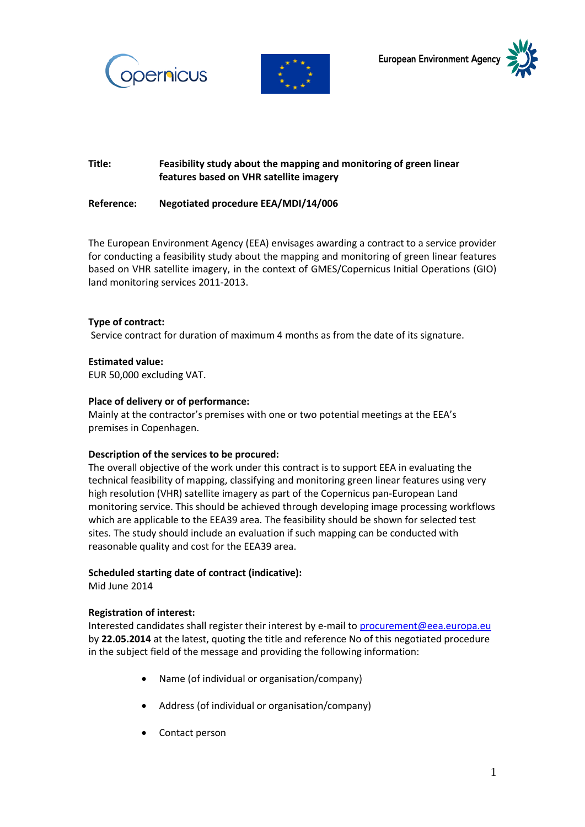





# **Title: Feasibility study about the mapping and monitoring of green linear features based on VHR satellite imagery**

## **Reference: Negotiated procedure EEA/MDI/14/006**

The European Environment Agency (EEA) envisages awarding a contract to a service provider for conducting a feasibility study about the mapping and monitoring of green linear features based on VHR satellite imagery, in the context of GMES/Copernicus Initial Operations (GIO) land monitoring services 2011-2013.

#### **Type of contract:**

Service contract for duration of maximum 4 months as from the date of its signature.

## **Estimated value:**

EUR 50,000 excluding VAT.

#### **Place of delivery or of performance:**

Mainly at the contractor's premises with one or two potential meetings at the EEA's premises in Copenhagen.

#### **Description of the services to be procured:**

The overall objective of the work under this contract is to support EEA in evaluating the technical feasibility of mapping, classifying and monitoring green linear features using very high resolution (VHR) satellite imagery as part of the Copernicus pan-European Land monitoring service. This should be achieved through developing image processing workflows which are applicable to the EEA39 area. The feasibility should be shown for selected test sites. The study should include an evaluation if such mapping can be conducted with reasonable quality and cost for the EEA39 area.

#### **Scheduled starting date of contract (indicative):**

Mid June 2014

#### **Registration of interest:**

Interested candidates shall register their interest by e-mail to [procurement@eea.europa.eu](mailto:procurement@eea.europa.eu) by **22.05.2014** at the latest, quoting the title and reference No of this negotiated procedure in the subject field of the message and providing the following information:

- Name (of individual or organisation/company)
- Address (of individual or organisation/company)
- Contact person